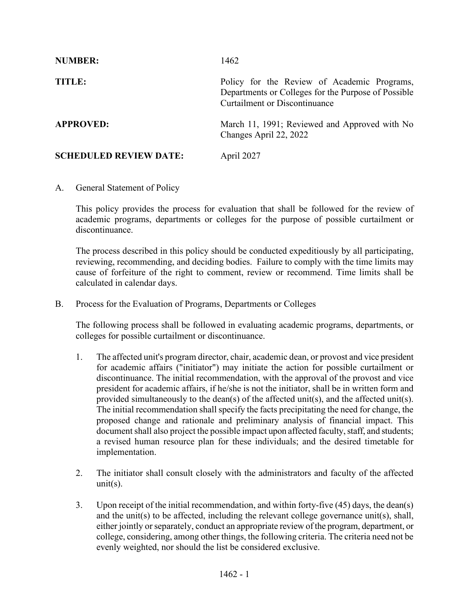| <b>NUMBER:</b>                | 1462                                                                                                                                       |
|-------------------------------|--------------------------------------------------------------------------------------------------------------------------------------------|
| TITLE:                        | Policy for the Review of Academic Programs,<br>Departments or Colleges for the Purpose of Possible<br><b>Curtailment or Discontinuance</b> |
| <b>APPROVED:</b>              | March 11, 1991; Reviewed and Approved with No<br>Changes April 22, 2022                                                                    |
| <b>SCHEDULED REVIEW DATE:</b> | April 2027                                                                                                                                 |

A. General Statement of Policy

This policy provides the process for evaluation that shall be followed for the review of academic programs, departments or colleges for the purpose of possible curtailment or discontinuance.

The process described in this policy should be conducted expeditiously by all participating, reviewing, recommending, and deciding bodies. Failure to comply with the time limits may cause of forfeiture of the right to comment, review or recommend. Time limits shall be calculated in calendar days.

B. Process for the Evaluation of Programs, Departments or Colleges

The following process shall be followed in evaluating academic programs, departments, or colleges for possible curtailment or discontinuance.

- 1. The affected unit's program director, chair, academic dean, or provost and vice president for academic affairs ("initiator") may initiate the action for possible curtailment or discontinuance. The initial recommendation, with the approval of the provost and vice president for academic affairs, if he/she is not the initiator, shall be in written form and provided simultaneously to the dean(s) of the affected unit(s), and the affected unit(s). The initial recommendation shall specify the facts precipitating the need for change, the proposed change and rationale and preliminary analysis of financial impact. This document shall also project the possible impact upon affected faculty, staff, and students; a revised human resource plan for these individuals; and the desired timetable for implementation.
- 2. The initiator shall consult closely with the administrators and faculty of the affected  $unit(s)$ .
- 3. Upon receipt of the initial recommendation, and within forty-five (45) days, the dean(s) and the unit(s) to be affected, including the relevant college governance unit(s), shall, either jointly or separately, conduct an appropriate review of the program, department, or college, considering, among other things, the following criteria. The criteria need not be evenly weighted, nor should the list be considered exclusive.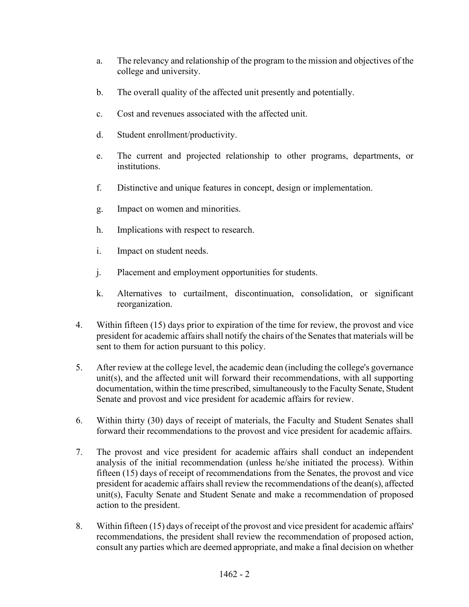- a. The relevancy and relationship of the program to the mission and objectives of the college and university.
- b. The overall quality of the affected unit presently and potentially.
- c. Cost and revenues associated with the affected unit.
- d. Student enrollment/productivity.
- e. The current and projected relationship to other programs, departments, or institutions.
- f. Distinctive and unique features in concept, design or implementation.
- g. Impact on women and minorities.
- h. Implications with respect to research.
- i. Impact on student needs.
- j. Placement and employment opportunities for students.
- k. Alternatives to curtailment, discontinuation, consolidation, or significant reorganization.
- 4. Within fifteen (15) days prior to expiration of the time for review, the provost and vice president for academic affairs shall notify the chairs of the Senates that materials will be sent to them for action pursuant to this policy.
- 5. After review at the college level, the academic dean (including the college's governance unit(s), and the affected unit will forward their recommendations, with all supporting documentation, within the time prescribed, simultaneously to the Faculty Senate, Student Senate and provost and vice president for academic affairs for review.
- 6. Within thirty (30) days of receipt of materials, the Faculty and Student Senates shall forward their recommendations to the provost and vice president for academic affairs.
- 7. The provost and vice president for academic affairs shall conduct an independent analysis of the initial recommendation (unless he/she initiated the process). Within fifteen (15) days of receipt of recommendations from the Senates, the provost and vice president for academic affairs shall review the recommendations of the dean(s), affected unit(s), Faculty Senate and Student Senate and make a recommendation of proposed action to the president.
- 8. Within fifteen (15) days of receipt of the provost and vice president for academic affairs' recommendations, the president shall review the recommendation of proposed action, consult any parties which are deemed appropriate, and make a final decision on whether